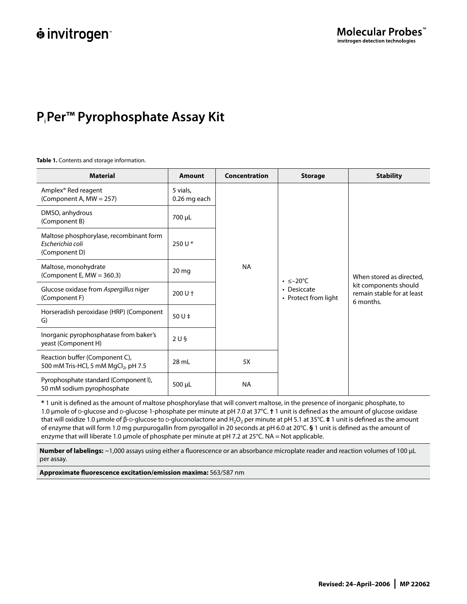# **P**i**Per™ Pyrophosphate Assay Kit**

# **Table 1.** Contents and storage information.

| <b>Material</b>                                                                    | <b>Amount</b>            | Concentration                                                                                       | <b>Storage</b> | <b>Stability</b>                                                                             |
|------------------------------------------------------------------------------------|--------------------------|-----------------------------------------------------------------------------------------------------|----------------|----------------------------------------------------------------------------------------------|
| Amplex® Red reagent<br>(Component A, MW = 257)                                     | 5 vials,<br>0.26 mg each | <b>NA</b><br>$\cdot$ $\leq -20^{\circ}$ C<br>• Desiccate<br>• Protect from light<br>5X<br><b>NA</b> |                | When stored as directed,<br>kit components should<br>remain stable for at least<br>6 months. |
| DMSO, anhydrous<br>(Component B)                                                   | 700 µL                   |                                                                                                     |                |                                                                                              |
| Maltose phosphorylase, recombinant form<br>Escherichia coli<br>(Component D)       | 250 U *                  |                                                                                                     |                |                                                                                              |
| Maltose, monohydrate<br>(Component E, MW = 360.3)                                  | 20 <sub>mg</sub>         |                                                                                                     |                |                                                                                              |
| Glucose oxidase from Aspergillus niger<br>(Component F)                            | $200U +$                 |                                                                                                     |                |                                                                                              |
| Horseradish peroxidase (HRP) (Component<br>G)                                      | 50 U $\ddagger$          |                                                                                                     |                |                                                                                              |
| Inorganic pyrophosphatase from baker's<br>yeast (Component H)                      | 2U <sub>5</sub>          |                                                                                                     |                |                                                                                              |
| Reaction buffer (Component C),<br>500 mM Tris-HCl, 5 mM MgCl <sub>2</sub> , pH 7.5 | 28 mL                    |                                                                                                     |                |                                                                                              |
| Pyrophosphate standard (Component I),<br>50 mM sodium pyrophosphate                | $500 \mu L$              |                                                                                                     |                |                                                                                              |

**\*** 1 unit is defined as the amount of maltose phosphorylase that will convert maltose, in the presence of inorganic phosphate, to 1.0 µmole of d-glucose and d-glucose 1-phosphate per minute at pH 7.0 at 37°C. **†** 1 unit is defined as the amount of glucose oxidase that will oxidize 1.0 μmole of β-D-glucose to D-gluconolactone and H<sub>2</sub>O<sub>2</sub> per minute at pH 5.1 at 35°C. **‡** 1 unit is defined as the amount of enzyme that will form 1.0 mg purpurogallin from pyrogallol in 20 seconds at pH 6.0 at 20°C. **§** 1 unit is defined as the amount of enzyme that will liberate 1.0 µmole of phosphate per minute at pH 7.2 at 25°C. NA = Not applicable.

**Number of labelings:** ~1,000 assays using either a fluorescence or an absorbance microplate reader and reaction volumes of 100 µL per assay.

**Approximate fluorescence excitation/emission maxima:** 563/587 nm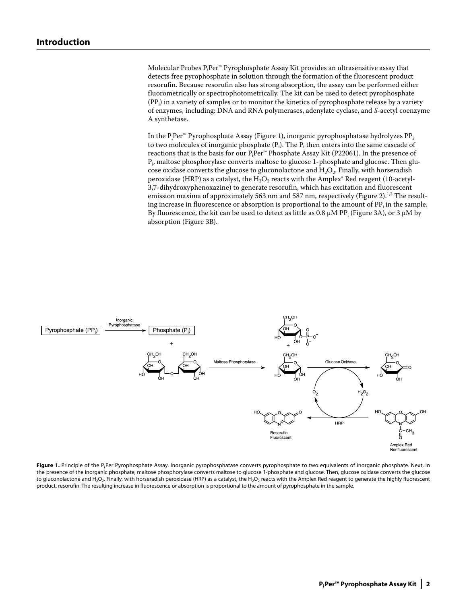Molecular Probes P<sub>i</sub>Per™ Pyrophosphate Assay Kit provides an ultrasensitive assay that detects free pyrophosphate in solution through the formation of the fluorescent product resorufin. Because resorufin also has strong absorption, the assay can be performed either fluorometrically or spectrophotometrically. The kit can be used to detect pyrophosphate  $(PP<sub>i</sub>)$  in a variety of samples or to monitor the kinetics of pyrophosphate release by a variety of enzymes, including: DNA and RNA polymerases, adenylate cyclase, and *S*-acetyl coenzyme A synthetase.

In the  $\rm P_i Per^{m}$  Pyrophosphate Assay (Figure 1), inorganic pyrophosphatase hydrolyzes  $\rm PP_i$ to two molecules of inorganic phosphate (P<sub>i</sub>). The P<sub>i</sub> then enters into the same cascade of reactions that is the basis for our  $\mathrm{P_iPer}^\mathrm{m}$  Phosphate Assay Kit (P22061). In the presence of  $\mathrm{P}_{\mathrm{i}\nu}$  maltose phosphorylase converts maltose to glucose 1-phosphate and glucose. Then glucose oxidase converts the glucose to gluconolactone and  $H_2O_2$ . Finally, with horseradish peroxidase (HRP) as a catalyst, the  $H_2O_2$  reacts with the Amplex® Red reagent (10-acetyl-3,7-dihydroxyphenoxazine) to generate resorufin, which has excitation and fluorescent emission maxima of approximately 563 nm and 587 nm, respectively (Figure 2).<sup>1,2</sup> The resulting increase in fluorescence or absorption is proportional to the amount of  $\text{PP}_{\text{i}}$  in the sample. By fluorescence, the kit can be used to detect as little as 0.8  $\mu$ M PP<sub>i</sub> (Figure 3A), or 3  $\mu$ M by absorption (Figure 3B).



Figure 1. Principle of the P<sub>i</sub>Per Pyrophosphate Assay. Inorganic pyrophosphatase converts pyrophosphate to two equivalents of inorganic phosphate. Next, in the presence of the inorganic phosphate, maltose phosphorylase converts maltose to glucose 1-phosphate and glucose. Then, glucose oxidase converts the glucose to gluconolactone and H<sub>2</sub>O<sub>2</sub>. Finally, with horseradish peroxidase (HRP) as a catalyst, the H<sub>2</sub>O<sub>2</sub> reacts with the Amplex Red reagent to generate the highly fluorescent product, resorufin. The resulting increase in fluorescence or absorption is proportional to the amount of pyrophosphate in the sample.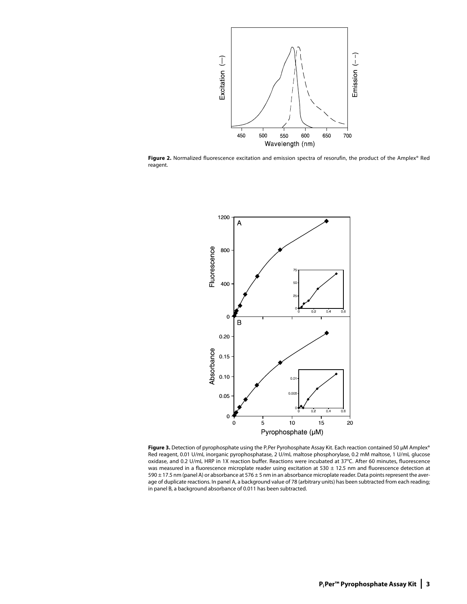

Figure 2. Normalized fluorescence excitation and emission spectra of resorufin, the product of the Amplex® Red reagent.



Figure 3. Detection of pyrophosphate using the P<sub>i</sub>Per Pyrohosphate Assay Kit. Each reaction contained 50 µM Amplex® Red reagent, 0.01 U/mL inorganic pyrophosphatase, 2 U/mL maltose phosphorylase, 0.2 mM maltose, 1 U/mL glucose oxidase, and 0.2 U/mL HRP in 1X reaction buffer. Reactions were incubated at 37°C. After 60 minutes, fluorescence was measured in a fluorescence microplate reader using excitation at 530  $\pm$  12.5 nm and fluorescence detection at 590 ± 17.5 nm (panel A) or absorbance at 576 ± 5 nm in an absorbance microplate reader. Data points represent the average of duplicate reactions. In panel A, a background value of 78 (arbitrary units) has been subtracted from each reading; in panel B, a background absorbance of 0.011 has been subtracted.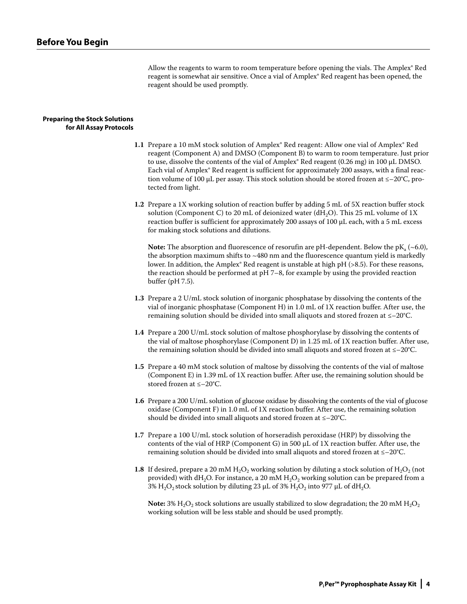Allow the reagents to warm to room temperature before opening the vials. The Amplex® Red reagent is somewhat air sensitive. Once a vial of Amplex® Red reagent has been opened, the reagent should be used promptly.

# **Preparing the Stock Solutions for All Assay Protocols**

- **1.1** Prepare a 10 mM stock solution of Amplex<sup>®</sup> Red reagent: Allow one vial of Amplex<sup>®</sup> Red reagent (Component A) and DMSO (Component B) to warm to room temperature. Just prior to use, dissolve the contents of the vial of Amplex® Red reagent  $(0.26 \text{ mg})$  in 100 µL DMSO. Each vial of Amplex® Red reagent is sufficient for approximately 200 assays, with a final reaction volume of 100 µL per assay. This stock solution should be stored frozen at  $\leq -20^{\circ}C$ , protected from light.
- **1.2** Prepare a 1X working solution of reaction buffer by adding 5 mL of 5X reaction buffer stock solution (Component C) to 20 mL of deionized water (dH<sub>2</sub>O). This 25 mL volume of 1X reaction buffer is sufficient for approximately 200 assays of 100 µL each, with a 5 mL excess for making stock solutions and dilutions.

**Note:** The absorption and fluorescence of resorutin are pH-dependent. Below the  $pK_a$  ( $\sim$ 6.0), the absorption maximum shifts to  $~480$  nm and the fluorescence quantum yield is markedly lower. In addition, the Amplex® Red reagent is unstable at high pH (>8.5). For these reasons, the reaction should be performed at pH 7–8, for example by using the provided reaction buffer (pH 7.5).

- **1.3**  Prepare a 2 U/mL stock solution of inorganic phosphatase by dissolving the contents of the vial of inorganic phosphatase (Component H) in 1.0 mL of 1X reaction buffer. After use, the remaining solution should be divided into small aliquots and stored frozen at  $\leq -20^{\circ}C$ .
- **1.4** Prepare a 200 U/mL stock solution of maltose phosphorylase by dissolving the contents of the vial of maltose phosphorylase (Component D) in 1.25 mL of 1X reaction buffer. After use, the remaining solution should be divided into small aliquots and stored frozen at  $\leq -20^{\circ}C$ .
- **1.5** Prepare a 40 mM stock solution of maltose by dissolving the contents of the vial of maltose (Component E) in 1.39 mL of 1X reaction buffer. After use, the remaining solution should be stored frozen at ≤–20°C.
- **1.6** Prepare a 200 U/mL solution of glucose oxidase by dissolving the contents of the vial of glucose oxidase (Component F) in  $1.0$  mL of  $1X$  reaction buffer. After use, the remaining solution should be divided into small aliquots and stored frozen at ≤–20°C.
- **1.7** Prepare a 100 U/mL stock solution of horseradish peroxidase (HRP) by dissolving the contents of the vial of HRP (Component G) in 500  $\mu$ L of 1X reaction buffer. After use, the remaining solution should be divided into small aliquots and stored frozen at ≤–20°C.
- **1.8** If desired, prepare a 20 mM  $H_2O_2$  working solution by diluting a stock solution of  $H_2O_2$  (not provided) with dH<sub>2</sub>O. For instance, a 20 mM  $H_2O_2$  working solution can be prepared from a 3%  $H_2O_2$  stock solution by diluting 23 µL of 3%  $H_2O_2$  into 977 µL of dH<sub>2</sub>O.

**Note:** 3%  $H_2O_2$  stock solutions are usually stabilized to slow degradation; the 20 mM  $H_2O_2$ working solution will be less stable and should be used promptly.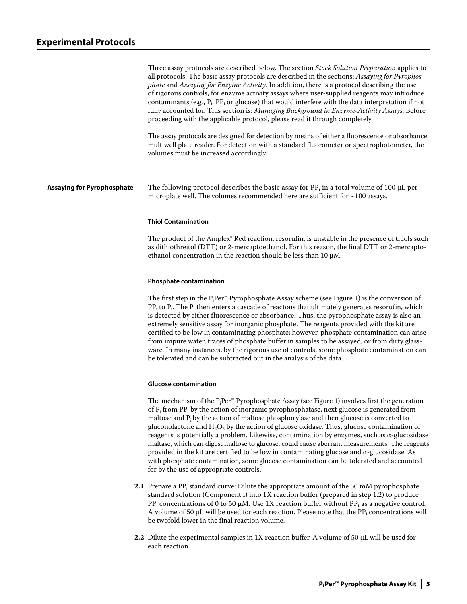|                                   | Three assay protocols are described below. The section <i>Stock Solution Preparation</i> applies to<br>all protocols. The basic assay protocols are described in the sections: Assaying for Pyrophos-<br>phate and Assaying for Enzyme Activity. In addition, there is a protocol describing the use<br>of rigorous controls, for enzyme activity assays where user-supplied reagents may introduce<br>contaminants (e.g., $P_i$ , PP <sub>i</sub> or glucose) that would interfere with the data interpretation if not<br>fully accounted for. This section is: Managing Background in Enzyme-Activity Assays. Before<br>proceeding with the applicable protocol, please read it through completely.<br>The assay protocols are designed for detection by means of either a fluorescence or absorbance<br>multiwell plate reader. For detection with a standard fluorometer or spectrophotometer, the<br>volumes must be increased accordingly. |
|-----------------------------------|--------------------------------------------------------------------------------------------------------------------------------------------------------------------------------------------------------------------------------------------------------------------------------------------------------------------------------------------------------------------------------------------------------------------------------------------------------------------------------------------------------------------------------------------------------------------------------------------------------------------------------------------------------------------------------------------------------------------------------------------------------------------------------------------------------------------------------------------------------------------------------------------------------------------------------------------------|
| <b>Assaying for Pyrophosphate</b> | The following protocol describes the basic assay for PP <sub>i</sub> in a total volume of 100 $\mu$ L per<br>microplate well. The volumes recommended here are sufficient for $\sim$ 100 assays.                                                                                                                                                                                                                                                                                                                                                                                                                                                                                                                                                                                                                                                                                                                                                 |

# **Thiol Contamination**

The product of the Amplex® Red reaction, resorufin, is unstable in the presence of thiols such as dithiothreitol (DTT) or 2-mercaptoethanol. For this reason, the final DTT or 2-mercaptoethanol concentration in the reaction should be less than 10 µM.

### **Phosphate contamination**

The first step in the  $\mathrm{P_iPer}^{\mathrm{m}}$  Pyrophosphate Assay scheme (see Figure 1) is the conversion of PP $_{\rm i}$  to P $_{\rm i}$ . The P $_{\rm i}$  then enters a cascade of reactons that ultimately generates resorufin, which is detected by either fluorescence or absorbance. Thus, the pyrophosphate assay is also an extremely sensitive assay for inorganic phosphate. The reagents provided with the kit are certified to be low in contaminating phosphate; however, phosphate contamination can arise from impure water, traces of phosphate buffer in samples to be assayed, or from dirty glassware. In many instances, by the rigorous use of controls, some phosphate contamination can be tolerated and can be subtracted out in the analysis of the data.

### **Glucose contamination**

The mechanism of the  $\mathrm{P_iPer}^{\mathrm{\tiny m}}$  Pyrophosphate Assay (see Figure 1) involves first the generation of  $P_i$  from P $P_i$  by the action of inorganic pyrophosphatase, next glucose is generated from maltose and  $P_i$  by the action of maltose phosphorylase and then glucose is converted to gluconolactone and  $H_2O_2$  by the action of glucose oxidase. Thus, glucose contamination of reagents is potentially a problem. Likewise, contamination by enzymes, such as  $\alpha$ -glucosidase maltase, which can digest maltose to glucose, could cause aberrant measurements. The reagents provided in the kit are certified to be low in contaminating glucose and α-glucosidase. As with phosphate contamination, some glucose contamination can be tolerated and accounted for by the use of appropriate controls.

- **2.1** Prepare a PP<sub>i</sub> standard curve: Dilute the appropriate amount of the 50 mM pyrophosphate standard solution (Component I) into 1X reaction buffer (prepared in step 1.2) to produce PP<sub>i</sub> concentrations of 0 to 50  $\mu$ M. Use 1X reaction buffer without PP<sub>i</sub> as a negative control. A volume of 50  $\mu$ L will be used for each reaction. Please note that the PP<sub>i</sub> concentrations will be twofold lower in the final reaction volume.
	- **2.2** Dilute the experimental samples in 1X reaction buffer. A volume of 50 µL will be used for each reaction.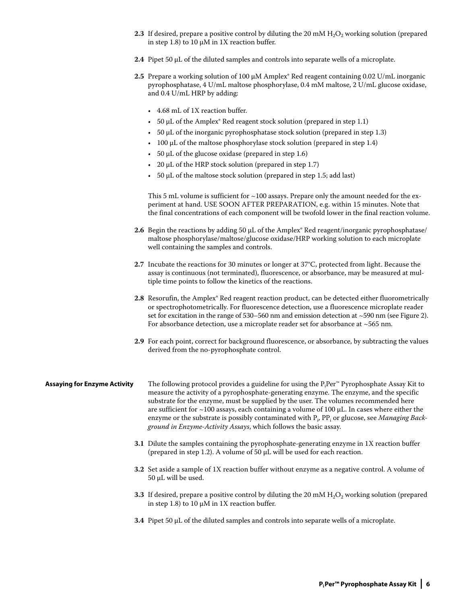- **2.3** If desired, prepare a positive control by diluting the 20 mM  $H_2O_2$  working solution (prepared in step 1.8) to 10  $\mu$ M in 1X reaction buffer.
- **2.4** Pipet 50 µL of the diluted samples and controls into separate wells of a microplate.
- **2.5** Prepare a working solution of 100  $\mu$ M Amplex® Red reagent containing 0.02 U/mL inorganic pyrophosphatase, 4 U/mL maltose phosphorylase, 0.4 mM maltose, 2 U/mL glucose oxidase, and 0.4 U/mL HRP by adding:
	- 4.68 mL of 1X reaction buffer. •
	- $\cdot$  50 µL of the Amplex $\degree$  Red reagent stock solution (prepared in step 1.1)
	- $\bullet$  50  $\mu$ L of the inorganic pyrophosphatase stock solution (prepared in step 1.3)
	- $\bullet$  100  $\mu$ L of the maltose phosphorylase stock solution (prepared in step 1.4)
	- $\cdot$  50  $\mu$ L of the glucose oxidase (prepared in step 1.6)
	- $\cdot$  20  $\mu$ L of the HRP stock solution (prepared in step 1.7)
	- $\cdot$  50  $\mu$ L of the maltose stock solution (prepared in step 1.5; add last)

This 5 mL volume is sufficient for  $\sim$  100 assays. Prepare only the amount needed for the experiment at hand. USE SOON AFTER PREPARATION, e.g. within 15 minutes. Note that the final concentrations of each component will be twofold lower in the final reaction volume.

- **2.6** Begin the reactions by adding 50 µL of the Amplex® Red reagent/inorganic pyrophosphatase/ maltose phosphorylase/maltose/glucose oxidase/HRP working solution to each microplate well containing the samples and controls.
- **2.7** Incubate the reactions for 30 minutes or longer at 37°C, protected from light. Because the assay is continuous (not terminated), fluorescence, or absorbance, may be measured at multiple time points to follow the kinetics of the reactions.
- 2.8 Resorufin, the Amplex® Red reagent reaction product, can be detected either fluorometrically or spectrophotometrically. For fluorescence detection, use a fluorescence microplate reader set for excitation in the range of  $530-560$  nm and emission detection at  $\sim$  590 nm (see Figure 2). For absorbance detection, use a microplate reader set for absorbance at ~565 nm.
- **2.9** For each point, correct for background fluorescence, or absorbance, by subtracting the values derived from the no-pyrophosphate control.

# **Assaying for Enzyme Activity** The following protocol provides a guideline for using the P<sub>i</sub>Per™ Pyrophosphate Assay Kit to measure the activity of a pyrophosphate-generating enzyme. The enzyme, and the specific substrate for the enzyme, must be supplied by the user. The volumes recommended here are sufficient for  $\sim$ 100 assays, each containing a volume of 100  $\mu$ L. In cases where either the enzyme or the substrate is possibly contaminated with P<sub>i</sub>, PP<sub>i</sub> or glucose, see *Managing Background in Enzyme-Activity Assays*, which follows the basic assay.

- **3.1** Dilute the samples containing the pyrophosphate-generating enzyme in 1X reaction buffer (prepared in step 1.2). A volume of 50  $\mu$ L will be used for each reaction.
- **3.2** Set aside a sample of 1X reaction buffer without enzyme as a negative control. A volume of 50 µL will be used.
- **3.3** If desired, prepare a positive control by diluting the 20 mM  $H<sub>2</sub>O<sub>2</sub>$  working solution (prepared in step 1.8) to 10  $\mu$ M in 1X reaction buffer.
- **3.4** Pipet 50 µL of the diluted samples and controls into separate wells of a microplate.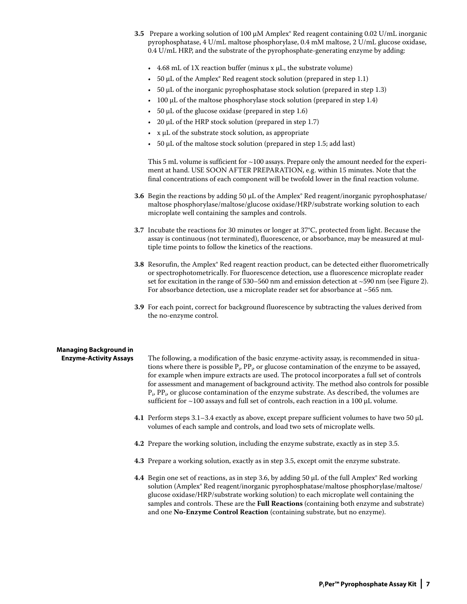- **3.5**  Prepare a working solution of 100 µM Amplex® Red reagent containing 0.02 U/mL inorganic pyrophosphatase, 4 U/mL maltose phosphorylase, 0.4 mM maltose, 2 U/mL glucose oxidase, 0.4 U/mL HRP, and the substrate of the pyrophosphate-generating enzyme by adding:
	- $4.68$  mL of 1X reaction buffer (minus x  $\mu$ L, the substrate volume)
	- $\cdot$  50  $\mu$ L of the Amplex $\degree$  Red reagent stock solution (prepared in step 1.1)
	- $\cdot$  50  $\mu$ L of the inorganic pyrophosphatase stock solution (prepared in step 1.3)
	- $\cdot$  100  $\mu$ L of the maltose phosphorylase stock solution (prepared in step 1.4)
	- $\cdot$  50  $\mu$ L of the glucose oxidase (prepared in step 1.6)
	- 20  $\mu$ L of the HRP stock solution (prepared in step 1.7)
	- $\boldsymbol{\mathrm{x}}$  µL of the substrate stock solution, as appropriate
	- $\bullet$  50  $\mu$ L of the maltose stock solution (prepared in step 1.5; add last)

This 5 mL volume is sufficient for  $\sim$ 100 assays. Prepare only the amount needed for the experiment at hand. USE SOON AFTER PREPARATION, e.g. within 15 minutes. Note that the final concentrations of each component will be twofold lower in the final reaction volume.

- **3.6** Begin the reactions by adding 50 µL of the Amplex® Red reagent/inorganic pyrophosphatase/ maltose phosphorylase/maltose/glucose oxidase/HRP/substrate working solution to each microplate well containing the samples and controls.
- **3.7** Incubate the reactions for 30 minutes or longer at 37°C, protected from light. Because the assay is continuous (not terminated), fluorescence, or absorbance, may be measured at multiple time points to follow the kinetics of the reactions.
- **3.8** Resorufin, the Amplex® Red reagent reaction product, can be detected either fluorometrically or spectrophotometrically. For fluorescence detection, use a fluorescence microplate reader set for excitation in the range of 530–560 nm and emission detection at ~590 nm (see Figure 2). For absorbance detection, use a microplate reader set for absorbance at  $\sim$ 565 nm.
- **3.9** For each point, correct for background fluorescence by subtracting the values derived from the no-enzyme control.

# **Managing Background in**

**Enzyme-Activity Assays** The following, a modification of the basic enzyme-activity assay, is recommended in situations where there is possible  $P_i$ ,  $PP_i$ , or glucose contamination of the enzyme to be assayed, for example when impure extracts are used. The protocol incorporates a full set of controls for assessment and management of background activity. The method also controls for possible  $P_i$ , P $P_i$ , or glucose contamination of the enzyme substrate. As described, the volumes are sufficient for  $\sim$ 100 assays and full set of controls, each reaction in a 100  $\mu$ L volume.

- **4.1** Perform steps 3.1–3.4 exactly as above, except prepare sufficient volumes to have two 50 µL volumes of each sample and controls, and load two sets of microplate wells.
- **4.2** Prepare the working solution, including the enzyme substrate, exactly as in step 3.5.
- **4.3** Prepare a working solution, exactly as in step 3.5, except omit the enzyme substrate.
- **4.4** Begin one set of reactions, as in step 3.6, by adding 50 µL of the full Amplex® Red working solution (Amplex® Red reagent/inorganic pyrophosphatase/maltose phosphorylase/maltose/ glucose oxidase/HRP/substrate working solution) to each microplate well containing the samples and controls. These are the **Full Reactions** (containing both enzyme and substrate) and one **No-Enzyme Control Reaction** (containing substrate, but no enzyme).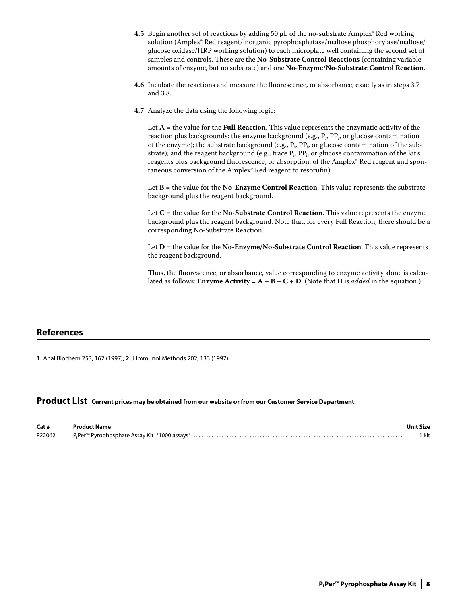- **4.5** Begin another set of reactions by adding 50  $\mu$ L of the no-substrate Amplex® Red working solution (Amplex® Red reagent/inorganic pyrophosphatase/maltose phosphorylase/maltose/ glucose oxidase/HRP working solution) to each microplate well containing the second set of samples and controls. These are the **No-Substrate Control Reactions** (containing variable amounts of enzyme, but no substrate) and one **No-Enzyme/No-Substrate Control Reaction**.
- **4.6** Incubate the reactions and measure the fluorescence, or absorbance, exactly as in steps 3.7 and 3.8.
- **4.7** Analyze the data using the following logic:

Let  $A =$  the value for the **Full Reaction**. This value represents the enzymatic activity of the reaction plus backgrounds: the enzyme background (e.g.,  $\mathrm{P_{i}, P P_{i}}$ , or glucose contamination of the enzyme); the substrate background (e.g.,  $P_i$ ,  $PP_i$ , or glucose contamination of the substrate); and the reagent background (e.g., trace  $P_i$ ,  $PP_i$ , or glucose contamination of the kit's reagents plus background fluorescence, or absorption, of the Amplex® Red reagent and spontaneous conversion of the Amplex® Red reagent to resorufin).

 Let **B** = the value for the **No-Enzyme Control Reaction**. This value represents the substrate background plus the reagent background.

Let **C** = the value for the **No-Substrate Control Reaction**. This value represents the enzyme background plus the reagent background. Note that, for every Full Reaction, there should be a corresponding No-Substrate Reaction.

 Let **D** = the value for the **No-Enzyme/No-Substrate Control Reaction**. This value represents the reagent background.

Thus, the fluorescence, or absorbance, value corresponding to enzyme activity alone is calculated as follows: **Enzyme** Activity =  $A - B - C + D$ . (Note that D is *added* in the equation.)

# **References**

**1.** Anal Biochem 253, 162 (1997); **2.** J Immunol Methods 202, 133 (1997).

# **Product List Current prices may be obtained from our website or from our Customer Service Department.**

| Cat #  | <b>Product Name</b> | <b>Unit Size</b> |
|--------|---------------------|------------------|
| P22062 |                     | kit              |